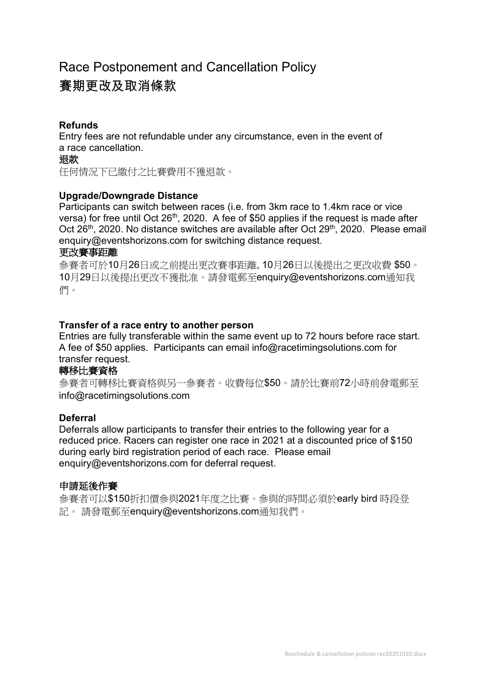# Race Postponement and Cancellation Policy 賽期更改及取消條款

# **Refunds**

Entry fees are not refundable under any circumstance, even in the event of a race cancellation.

#### 退款

任何情況下已繳付之比賽費用不獲退款。

## **Upgrade/Downgrade Distance**

Participants can switch between races (i.e. from 3km race to 1.4km race or vice versa) for free until Oct 26<sup>th</sup>, 2020. A fee of \$50 applies if the request is made after Oct 26<sup>th</sup>, 2020. No distance switches are available after Oct 29<sup>th</sup>, 2020. Please email enquiry@eventshorizons.com for switching distance request.

#### 更改賽事距離

參賽者可於10月26日或之前提出更改賽事距離, 10月26日以後提出之更改收費 \$50。 10月29日以後提出更改不獲批准。請發電郵至enquiry@eventshorizons.com通知我 們。

## **Transfer of a race entry to another person**

Entries are fully transferable within the same event up to 72 hours before race start. A fee of \$50 applies. Participants can email info@racetimingsolutions.com for transfer request.

# 轉移比賽資格

參賽者可轉移比賽資格與另一參賽者。收費每位\$50。請於比賽前72小時前發電郵至 info@racetimingsolutions.com

#### **Deferral**

Deferrals allow participants to transfer their entries to the following year for a reduced price. Racers can register one race in 2021 at a discounted price of \$150 during early bird registration period of each race. Please email enquiry@eventshorizons.com for deferral request.

#### 申請延後作賽

參賽者可以\$150折扣價參與2021年度之比賽。參與的時間必須於early bird 時段登 記。 請發電郵至enquiry@eventshorizons.com通知我們。